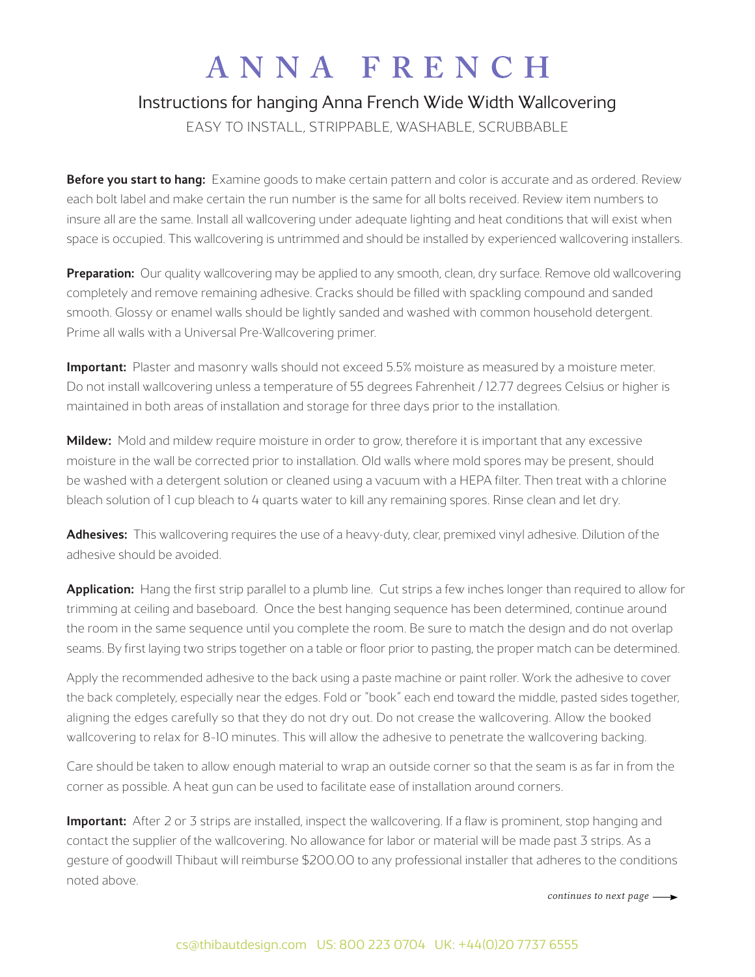## ANNA FRENCH

## Instructions for hanging Anna French Wide Width Wallcovering

EASY TO INSTALL, STRIPPABLE, WASHABLE, SCRUBBABLE

Before you start to hang: Examine goods to make certain pattern and color is accurate and as ordered. Review each bolt label and make certain the run number is the same for all bolts received. Review item numbers to insure all are the same. Install all wallcovering under adequate lighting and heat conditions that will exist when space is occupied. This wallcovering is untrimmed and should be installed by experienced wallcovering installers.

**Preparation:** Our quality wallcovering may be applied to any smooth, clean, dry surface. Remove old wallcovering completely and remove remaining adhesive. Cracks should be filled with spackling compound and sanded smooth. Glossy or enamel walls should be lightly sanded and washed with common household detergent. Prime all walls with a Universal Pre-Wallcovering primer.

**Important:** Plaster and masonry walls should not exceed 5.5% moisture as measured by a moisture meter. Do not install wallcovering unless a temperature of 55 degrees Fahrenheit / 12.77 degrees Celsius or higher is maintained in both areas of installation and storage for three days prior to the installation.

Mildew: Mold and mildew require moisture in order to grow, therefore it is important that any excessive moisture in the wall be corrected prior to installation. Old walls where mold spores may be present, should be washed with a detergent solution or cleaned using a vacuum with a HEPA filter. Then treat with a chlorine bleach solution of 1 cup bleach to 4 quarts water to kill any remaining spores. Rinse clean and let dry.

Adhesives: This wallcovering requires the use of a heavy-duty, clear, premixed vinyl adhesive. Dilution of the adhesive should be avoided.

Application: Hang the first strip parallel to a plumb line. Cut strips a few inches longer than required to allow for trimming at ceiling and baseboard. Once the best hanging sequence has been determined, continue around the room in the same sequence until you complete the room. Be sure to match the design and do not overlap seams. By first laying two strips together on a table or floor prior to pasting, the proper match can be determined.

Apply the recommended adhesive to the back using a paste machine or paint roller. Work the adhesive to cover the back completely, especially near the edges. Fold or "book" each end toward the middle, pasted sides together, aligning the edges carefully so that they do not dry out. Do not crease the wallcovering. Allow the booked wallcovering to relax for 8–10 minutes. This will allow the adhesive to penetrate the wallcovering backing.

Care should be taken to allow enough material to wrap an outside corner so that the seam is as far in from the corner as possible. A heat gun can be used to facilitate ease of installation around corners.

**Important:** After 2 or 3 strips are installed, inspect the wallcovering. If a flaw is prominent, stop hanging and contact the supplier of the wallcovering. No allowance for labor or material will be made past 3 strips. As a gesture of goodwill Thibaut will reimburse \$200.00 to any professional installer that adheres to the conditions noted above.

*continues to next page*